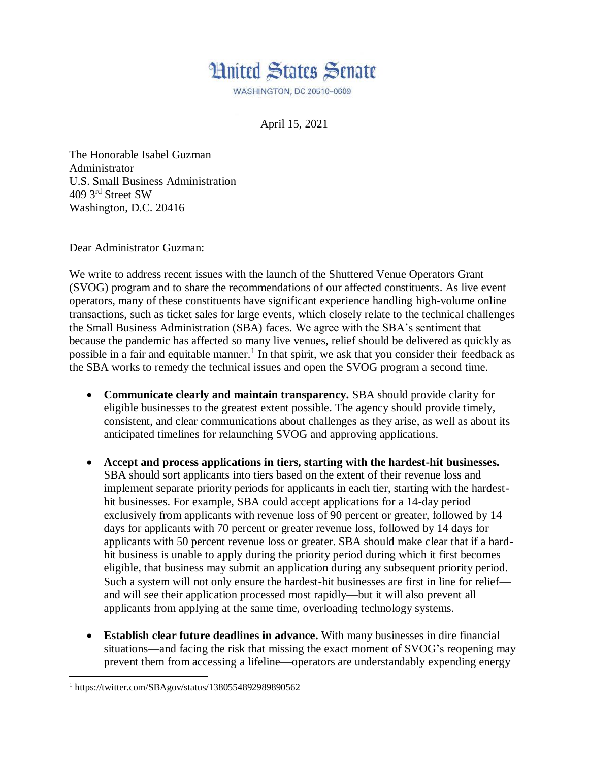

**WASHINGTON, DC 20510-0609** 

April 15, 2021

The Honorable Isabel Guzman Administrator U.S. Small Business Administration 409 3rd Street SW Washington, D.C. 20416

Dear Administrator Guzman:

We write to address recent issues with the launch of the Shuttered Venue Operators Grant (SVOG) program and to share the recommendations of our affected constituents. As live event operators, many of these constituents have significant experience handling high-volume online transactions, such as ticket sales for large events, which closely relate to the technical challenges the Small Business Administration (SBA) faces. We agree with the SBA's sentiment that because the pandemic has affected so many live venues, relief should be delivered as quickly as possible in a fair and equitable manner.<sup>1</sup> In that spirit, we ask that you consider their feedback as the SBA works to remedy the technical issues and open the SVOG program a second time.

- **Communicate clearly and maintain transparency.** SBA should provide clarity for eligible businesses to the greatest extent possible. The agency should provide timely, consistent, and clear communications about challenges as they arise, as well as about its anticipated timelines for relaunching SVOG and approving applications.
- **Accept and process applications in tiers, starting with the hardest-hit businesses.** SBA should sort applicants into tiers based on the extent of their revenue loss and implement separate priority periods for applicants in each tier, starting with the hardesthit businesses. For example, SBA could accept applications for a 14-day period exclusively from applicants with revenue loss of 90 percent or greater, followed by 14 days for applicants with 70 percent or greater revenue loss, followed by 14 days for applicants with 50 percent revenue loss or greater. SBA should make clear that if a hardhit business is unable to apply during the priority period during which it first becomes eligible, that business may submit an application during any subsequent priority period. Such a system will not only ensure the hardest-hit businesses are first in line for relief and will see their application processed most rapidly—but it will also prevent all applicants from applying at the same time, overloading technology systems.
- **Establish clear future deadlines in advance.** With many businesses in dire financial situations—and facing the risk that missing the exact moment of SVOG's reopening may prevent them from accessing a lifeline—operators are understandably expending energy

 $\overline{a}$ <sup>1</sup> https://twitter.com/SBAgov/status/1380554892989890562